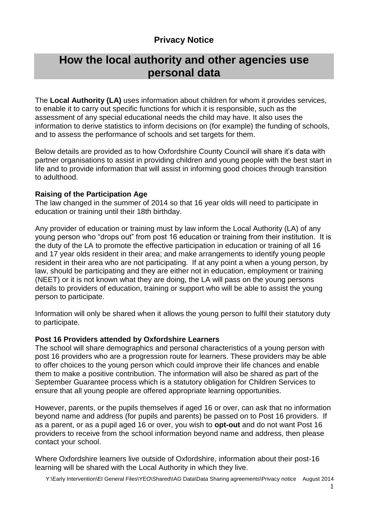### **Privacy Notice**

## **How the local authority and other agencies use personal data**

The **Local Authority (LA)** uses information about children for whom it provides services, to enable it to carry out specific functions for which it is responsible, such as the assessment of any special educational needs the child may have. It also uses the information to derive statistics to inform decisions on (for example) the funding of schools, and to assess the performance of schools and set targets for them.

Below details are provided as to how Oxfordshire County Council will share it's data with partner organisations to assist in providing children and young people with the best start in life and to provide information that will assist in informing good choices through transition to adulthood.

#### **Raising of the Participation Age**

The law changed in the summer of 2014 so that 16 year olds will need to participate in education or training until their 18th birthday.

Any provider of education or training must by law inform the Local Authority (LA) of any young person who "drops out" from post 16 education or training from their institution. It is the duty of the LA to promote the effective participation in education or training of all 16 and 17 year olds resident in their area; and make arrangements to identify young people resident in their area who are not participating. If at any point a when a young person, by law, should be participating and they are either not in education, employment or training (NEET) or it is not known what they are doing, the LA will pass on the young persons details to providers of education, training or support who will be able to assist the young person to participate.

Information will only be shared when it allows the young person to fulfil their statutory duty to participate.

#### **Post 16 Providers attended by Oxfordshire Learners**

The school will share demographics and personal characteristics of a young person with post 16 providers who are a progression route for learners. These providers may be able to offer choices to the young person which could improve their life chances and enable them to make a positive contribution. The information will also be shared as part of the September Guarantee process which is a statutory obligation for Children Services to ensure that all young people are offered appropriate learning opportunities.

However, parents, or the pupils themselves if aged 16 or over, can ask that no information beyond name and address (for pupils and parents) be passed on to Post 16 providers. If as a parent, or as a pupil aged 16 or over, you wish to **opt-out** and do not want Post 16 providers to receive from the school information beyond name and address, then please contact your school.

Where Oxfordshire learners live outside of Oxfordshire, information about their post-16 learning will be shared with the Local Authority in which they live.

Y:\Early Intervention\EI General Files\YEO\Shared\IAG Data\Data Sharing agreements\Privacy notice August 2014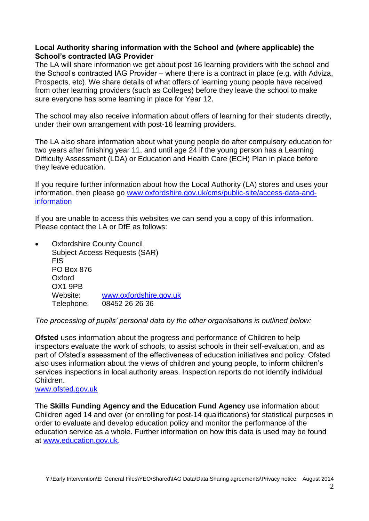#### **Local Authority sharing information with the School and (where applicable) the School's contracted IAG Provider**

The LA will share information we get about post 16 learning providers with the school and the School's contracted IAG Provider – where there is a contract in place (e.g. with Adviza, Prospects, etc). We share details of what offers of learning young people have received from other learning providers (such as Colleges) before they leave the school to make sure everyone has some learning in place for Year 12.

The school may also receive information about offers of learning for their students directly, under their own arrangement with post-16 learning providers.

The LA also share information about what young people do after compulsory education for two years after finishing year 11, and until age 24 if the young person has a Learning Difficulty Assessment (LDA) or Education and Health Care (ECH) Plan in place before they leave education.

If you require further information about how the Local Authority (LA) stores and uses your information, then please go [www.oxfordshire.gov.uk/cms/public-site/access-data-and](http://www.oxfordshire.gov.uk/cms/public-site/access-data-and-information)[information](http://www.oxfordshire.gov.uk/cms/public-site/access-data-and-information) 

If you are unable to access this websites we can send you a copy of this information. Please contact the LA or DfE as follows:

 Oxfordshire County Council Subject Access Requests (SAR) FIS PO Box 876 Oxford OX1 9PB Website: [www.oxfordshire.gov.uk](http://www.oxfordshire.gov.uk/) Telephone: 08452 26 26 36

*The processing of pupils' personal data by the other organisations is outlined below:*

**Ofsted** uses information about the progress and performance of Children to help inspectors evaluate the work of schools, to assist schools in their self-evaluation, and as part of Ofsted's assessment of the effectiveness of education initiatives and policy. Ofsted also uses information about the views of children and young people, to inform children's services inspections in local authority areas. Inspection reports do not identify individual Children.

[www.ofsted.gov.uk](http://www.ofsted.gov.uk/)

The **Skills Funding Agency and the Education Fund Agency** use information about Children aged 14 and over (or enrolling for post-14 qualifications) for statistical purposes in order to evaluate and develop education policy and monitor the performance of the education service as a whole. Further information on how this data is used may be found at [www.education.gov.uk.](http://www.education.gov.uk/)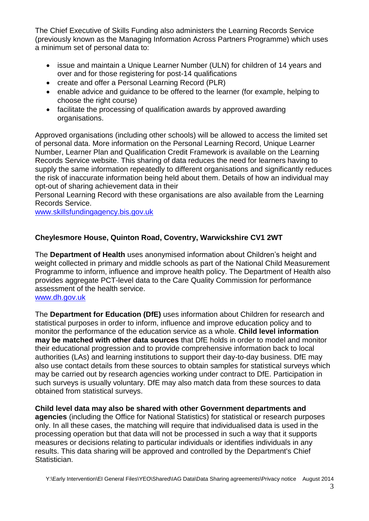The Chief Executive of Skills Funding also administers the Learning Records Service (previously known as the Managing Information Across Partners Programme) which uses a minimum set of personal data to:

- issue and maintain a Unique Learner Number (ULN) for children of 14 years and over and for those registering for post-14 qualifications
- create and offer a Personal Learning Record (PLR)
- enable advice and guidance to be offered to the learner (for example, helping to choose the right course)
- facilitate the processing of qualification awards by approved awarding organisations.

Approved organisations (including other schools) will be allowed to access the limited set of personal data. More information on the Personal Learning Record, Unique Learner Number, Learner Plan and Qualification Credit Framework is available on the Learning Records Service website. This sharing of data reduces the need for learners having to supply the same information repeatedly to different organisations and significantly reduces the risk of inaccurate information being held about them. Details of how an individual may opt-out of sharing achievement data in their

Personal Learning Record with these organisations are also available from the Learning Records Service.

[www.skillsfundingagency.bis.gov.uk](http://www.skillsfundingagency.bis.gov.uk/)

#### **Cheylesmore House, Quinton Road, Coventry, Warwickshire CV1 2WT**

The **Department of Health** uses anonymised information about Children's height and weight collected in primary and middle schools as part of the National Child Measurement Programme to inform, influence and improve health policy. The Department of Health also provides aggregate PCT-level data to the Care Quality Commission for performance assessment of the health service.

[www.dh.gov.uk](http://www.dh.gov.uk/)

The **Department for Education (DfE)** uses information about Children for research and statistical purposes in order to inform, influence and improve education policy and to monitor the performance of the education service as a whole. **Child level information may be matched with other data sources** that DfE holds in order to model and monitor their educational progression and to provide comprehensive information back to local authorities (LAs) and learning institutions to support their day-to-day business. DfE may also use contact details from these sources to obtain samples for statistical surveys which may be carried out by research agencies working under contract to DfE. Participation in such surveys is usually voluntary. DfE may also match data from these sources to data obtained from statistical surveys.

**Child level data may also be shared with other Government departments and** 

**agencies** (including the Office for National Statistics) for statistical or research purposes only. In all these cases, the matching will require that individualised data is used in the processing operation but that data will not be processed in such a way that it supports measures or decisions relating to particular individuals or identifies individuals in any results. This data sharing will be approved and controlled by the Department's Chief Statistician.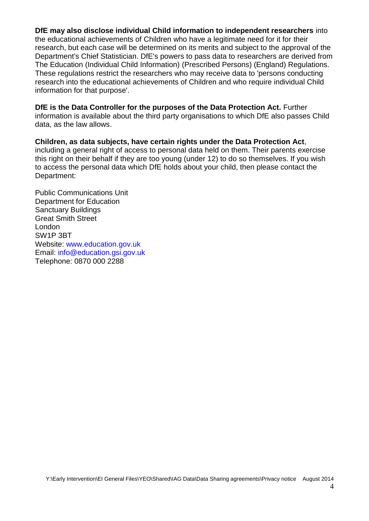**DfE may also disclose individual Child information to independent researchers** into the educational achievements of Children who have a legitimate need for it for their research, but each case will be determined on its merits and subject to the approval of the Department's Chief Statistician. DfE's powers to pass data to researchers are derived from The Education (Individual Child Information) (Prescribed Persons) (England) Regulations. These regulations restrict the researchers who may receive data to 'persons conducting research into the educational achievements of Children and who require individual Child information for that purpose'.

**DfE is the Data Controller for the purposes of the Data Protection Act.** Further information is available about the third party organisations to which DfE also passes Child data, as the law allows.

**Children, as data subjects, have certain rights under the Data Protection Act**, including a general right of access to personal data held on them. Their parents exercise this right on their behalf if they are too young (under 12) to do so themselves. If you wish to access the personal data which DfE holds about your child, then please contact the Department:

Public Communications Unit Department for Education Sanctuary Buildings Great Smith Street London SW1P 3BT Website: www.education.gov.uk Email: info@education.gsi.gov.uk Telephone: 0870 000 2288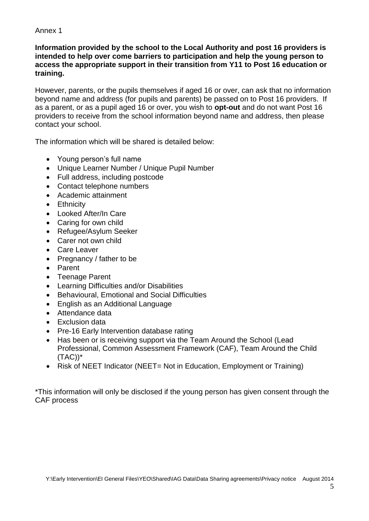#### Annex 1

#### **Information provided by the school to the Local Authority and post 16 providers is intended to help over come barriers to participation and help the young person to access the appropriate support in their transition from Y11 to Post 16 education or training.**

However, parents, or the pupils themselves if aged 16 or over, can ask that no information beyond name and address (for pupils and parents) be passed on to Post 16 providers. If as a parent, or as a pupil aged 16 or over, you wish to **opt-out** and do not want Post 16 providers to receive from the school information beyond name and address, then please contact your school.

The information which will be shared is detailed below:

- Young person's full name
- Unique Learner Number / Unique Pupil Number
- Full address, including postcode
- Contact telephone numbers
- Academic attainment
- Ethnicity
- Looked After/In Care
- Caring for own child
- Refugee/Asylum Seeker
- Carer not own child
- Care Leaver
- Pregnancy / father to be
- Parent
- Teenage Parent
- Learning Difficulties and/or Disabilities
- Behavioural, Emotional and Social Difficulties
- English as an Additional Language
- Attendance data
- Exclusion data
- Pre-16 Early Intervention database rating
- Has been or is receiving support via the Team Around the School (Lead Professional, Common Assessment Framework (CAF), Team Around the Child  $(TAC))^*$
- Risk of NEET Indicator (NEET= Not in Education, Employment or Training)

\*This information will only be disclosed if the young person has given consent through the CAF process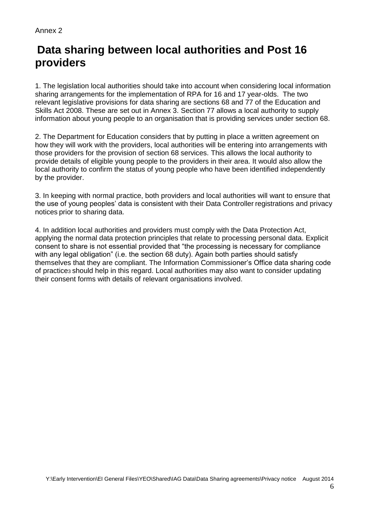#### Annex 2

# **Data sharing between local authorities and Post 16 providers**

1. The legislation local authorities should take into account when considering local information sharing arrangements for the implementation of RPA for 16 and 17 year-olds. The two relevant legislative provisions for data sharing are sections 68 and 77 of the Education and Skills Act 2008. These are set out in Annex 3. Section 77 allows a local authority to supply information about young people to an organisation that is providing services under section 68.

2. The Department for Education considers that by putting in place a written agreement on how they will work with the providers, local authorities will be entering into arrangements with those providers for the provision of section 68 services. This allows the local authority to provide details of eligible young people to the providers in their area. It would also allow the local authority to confirm the status of young people who have been identified independently by the provider.

3. In keeping with normal practice, both providers and local authorities will want to ensure that the use of young peoples' data is consistent with their Data Controller registrations and privacy notices prior to sharing data.

4. In addition local authorities and providers must comply with the Data Protection Act, applying the normal data protection principles that relate to processing personal data. Explicit consent to share is not essential provided that "the processing is necessary for compliance with any legal obligation" (i.e. the section 68 duty). Again both parties should satisfy themselves that they are compliant. The Information Commissioner's Office data sharing code of practice3 should help in this regard. Local authorities may also want to consider updating their consent forms with details of relevant organisations involved.